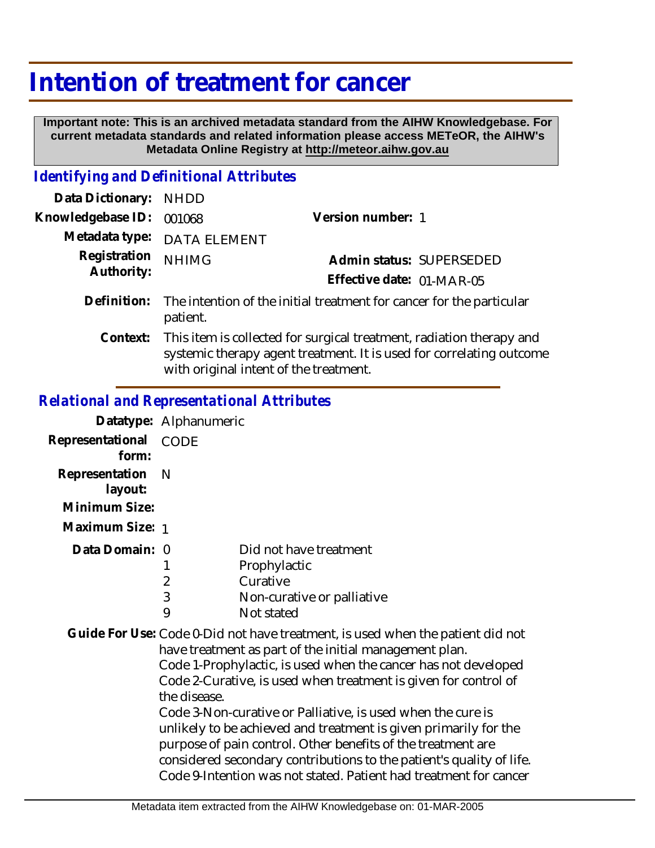## **Intention of treatment for cancer**

 **Important note: This is an archived metadata standard from the AIHW Knowledgebase. For current metadata standards and related information please access METeOR, the AIHW's Metadata Online Registry at http://meteor.aihw.gov.au**

## *Identifying and Definitional Attributes*

| Data Dictionary:           | <b>NHDD</b>                                                                                                                                                                            |                                                       |
|----------------------------|----------------------------------------------------------------------------------------------------------------------------------------------------------------------------------------|-------------------------------------------------------|
| Knowledgebase ID:          | 001068                                                                                                                                                                                 | Version number: 1                                     |
| Metadata type:             | <b>DATA ELEMENT</b>                                                                                                                                                                    |                                                       |
| Registration<br>Authority: | <b>NHIMG</b>                                                                                                                                                                           | Admin status: SUPERSEDED<br>Effective date: 01-MAR-05 |
| Definition:                | The intention of the initial treatment for cancer for the particular<br>patient.                                                                                                       |                                                       |
| Context:                   | This item is collected for surgical treatment, radiation therapy and<br>systemic therapy agent treatment. It is used for correlating outcome<br>with original intent of the treatment. |                                                       |

## *Relational and Representational Attributes*

|                             | Datatype: Alphanumeric |                            |
|-----------------------------|------------------------|----------------------------|
| Representational<br>form:   | CODE                   |                            |
| Representation N<br>layout: |                        |                            |
| Minimum Size:               |                        |                            |
| Maximum Size: 1             |                        |                            |
| Data Domain: 0              |                        | Did not have treatment     |
|                             |                        | Prophylactic               |
|                             | 2                      | Curative                   |
|                             | 3                      | Non-curative or palliative |
|                             | 9                      | Not stated                 |

Guide For Use: Code 0-Did not have treatment, is used when the patient did not have treatment as part of the initial management plan. Code 1-Prophylactic, is used when the cancer has not developed Code 2-Curative, is used when treatment is given for control of the disease. Code 3-Non-curative or Palliative, is used when the cure is unlikely to be achieved and treatment is given primarily for the purpose of pain control. Other benefits of the treatment are considered secondary contributions to the patient's quality of life.

Code 9-Intention was not stated. Patient had treatment for cancer